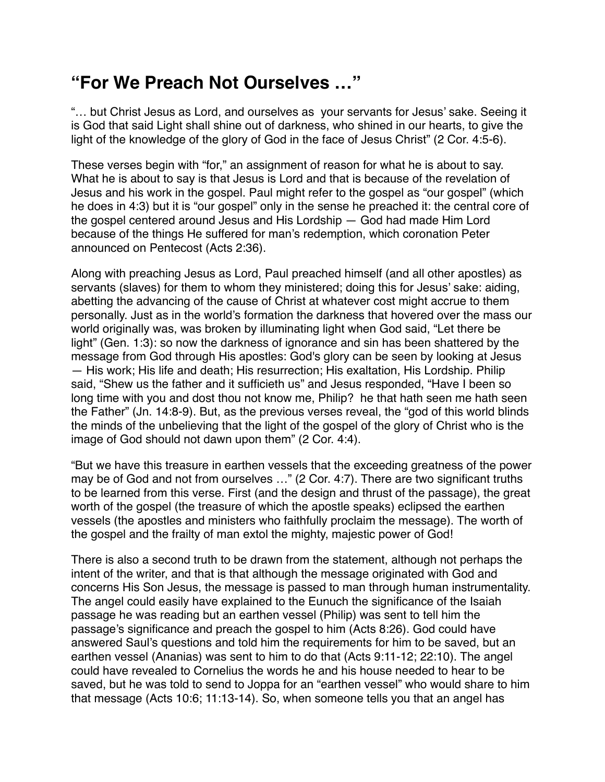## **"For We Preach Not Ourselves …"**

"… but Christ Jesus as Lord, and ourselves as your servants for Jesus' sake. Seeing it is God that said Light shall shine out of darkness, who shined in our hearts, to give the light of the knowledge of the glory of God in the face of Jesus Christ" (2 Cor. 4:5-6).

These verses begin with "for," an assignment of reason for what he is about to say. What he is about to say is that Jesus is Lord and that is because of the revelation of Jesus and his work in the gospel. Paul might refer to the gospel as "our gospel" (which he does in 4:3) but it is "our gospel" only in the sense he preached it: the central core of the gospel centered around Jesus and His Lordship — God had made Him Lord because of the things He suffered for man's redemption, which coronation Peter announced on Pentecost (Acts 2:36).

Along with preaching Jesus as Lord, Paul preached himself (and all other apostles) as servants (slaves) for them to whom they ministered; doing this for Jesus' sake: aiding, abetting the advancing of the cause of Christ at whatever cost might accrue to them personally. Just as in the world's formation the darkness that hovered over the mass our world originally was, was broken by illuminating light when God said, "Let there be light" (Gen. 1:3): so now the darkness of ignorance and sin has been shattered by the message from God through His apostles: God's glory can be seen by looking at Jesus — His work; His life and death; His resurrection; His exaltation, His Lordship. Philip said, "Shew us the father and it sufficieth us" and Jesus responded, "Have I been so long time with you and dost thou not know me, Philip? he that hath seen me hath seen the Father" (Jn. 14:8-9). But, as the previous verses reveal, the "god of this world blinds the minds of the unbelieving that the light of the gospel of the glory of Christ who is the image of God should not dawn upon them" (2 Cor. 4:4).

"But we have this treasure in earthen vessels that the exceeding greatness of the power may be of God and not from ourselves …" (2 Cor. 4:7). There are two significant truths to be learned from this verse. First (and the design and thrust of the passage), the great worth of the gospel (the treasure of which the apostle speaks) eclipsed the earthen vessels (the apostles and ministers who faithfully proclaim the message). The worth of the gospel and the frailty of man extol the mighty, majestic power of God!

There is also a second truth to be drawn from the statement, although not perhaps the intent of the writer, and that is that although the message originated with God and concerns His Son Jesus, the message is passed to man through human instrumentality. The angel could easily have explained to the Eunuch the significance of the Isaiah passage he was reading but an earthen vessel (Philip) was sent to tell him the passage's significance and preach the gospel to him (Acts 8:26). God could have answered Saul's questions and told him the requirements for him to be saved, but an earthen vessel (Ananias) was sent to him to do that (Acts 9:11-12; 22:10). The angel could have revealed to Cornelius the words he and his house needed to hear to be saved, but he was told to send to Joppa for an "earthen vessel" who would share to him that message (Acts 10:6; 11:13-14). So, when someone tells you that an angel has